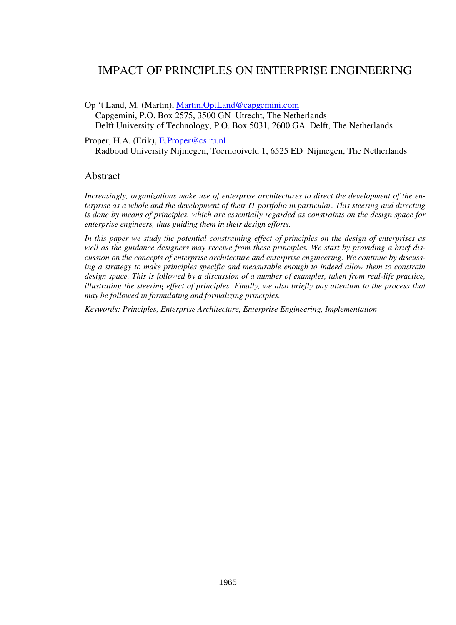# IMPACT OF PRINCIPLES ON ENTERPRISE ENGINEERING

Op 't Land, M. (Martin), Martin.OptLand@capgemini.com Capgemini, P.O. Box 2575, 3500 GN Utrecht, The Netherlands Delft University of Technology, P.O. Box 5031, 2600 GA Delft, The Netherlands

Proper, H.A. (Erik), E.Proper@cs.ru.nl Radboud University Nijmegen, Toernooiveld 1, 6525 ED Nijmegen, The Netherlands

#### Abstract

*Increasingly, organizations make use of enterprise architectures to direct the development of the enterprise as a whole and the development of their IT portfolio in particular. This steering and directing is done by means of principles, which are essentially regarded as constraints on the design space for enterprise engineers, thus guiding them in their design efforts.* 

*In this paper we study the potential constraining effect of principles on the design of enterprises as well as the guidance designers may receive from these principles. We start by providing a brief discussion on the concepts of enterprise architecture and enterprise engineering. We continue by discussing a strategy to make principles specific and measurable enough to indeed allow them to constrain design space. This is followed by a discussion of a number of examples, taken from real-life practice, illustrating the steering effect of principles. Finally, we also briefly pay attention to the process that may be followed in formulating and formalizing principles.* 

*Keywords: Principles, Enterprise Architecture, Enterprise Engineering, Implementation*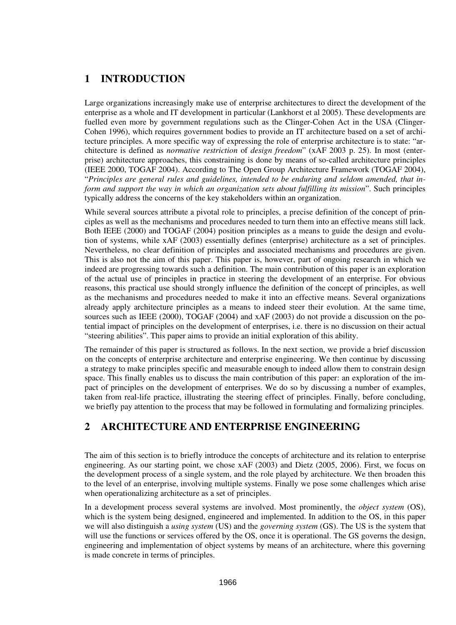## **1 INTRODUCTION**

Large organizations increasingly make use of enterprise architectures to direct the development of the enterprise as a whole and IT development in particular (Lankhorst et al 2005). These developments are fuelled even more by government regulations such as the Clinger-Cohen Act in the USA (Clinger-Cohen 1996), which requires government bodies to provide an IT architecture based on a set of architecture principles. A more specific way of expressing the role of enterprise architecture is to state: "architecture is defined as *normative restriction* of *design freedom*" (xAF 2003 p. 25). In most (enterprise) architecture approaches, this constraining is done by means of so-called architecture principles (IEEE 2000, TOGAF 2004). According to The Open Group Architecture Framework (TOGAF 2004), "*Principles are general rules and guidelines, intended to be enduring and seldom amended, that inform and support the way in which an organization sets about fulfilling its mission*". Such principles typically address the concerns of the key stakeholders within an organization.

While several sources attribute a pivotal role to principles, a precise definition of the concept of principles as well as the mechanisms and procedures needed to turn them into an effective means still lack. Both IEEE (2000) and TOGAF (2004) position principles as a means to guide the design and evolution of systems, while xAF (2003) essentially defines (enterprise) architecture as a set of principles. Nevertheless, no clear definition of principles and associated mechanisms and procedures are given. This is also not the aim of this paper. This paper is, however, part of ongoing research in which we indeed are progressing towards such a definition. The main contribution of this paper is an exploration of the actual use of principles in practice in steering the development of an enterprise. For obvious reasons, this practical use should strongly influence the definition of the concept of principles, as well as the mechanisms and procedures needed to make it into an effective means. Several organizations already apply architecture principles as a means to indeed steer their evolution. At the same time, sources such as IEEE (2000), TOGAF (2004) and xAF (2003) do not provide a discussion on the potential impact of principles on the development of enterprises, i.e. there is no discussion on their actual "steering abilities". This paper aims to provide an initial exploration of this ability.

The remainder of this paper is structured as follows. In the next section, we provide a brief discussion on the concepts of enterprise architecture and enterprise engineering. We then continue by discussing a strategy to make principles specific and measurable enough to indeed allow them to constrain design space. This finally enables us to discuss the main contribution of this paper: an exploration of the impact of principles on the development of enterprises. We do so by discussing a number of examples, taken from real-life practice, illustrating the steering effect of principles. Finally, before concluding, we briefly pay attention to the process that may be followed in formulating and formalizing principles.

#### **2 ARCHITECTURE AND ENTERPRISE ENGINEERING**

The aim of this section is to briefly introduce the concepts of architecture and its relation to enterprise engineering. As our starting point, we chose xAF (2003) and Dietz (2005, 2006). First, we focus on the development process of a single system, and the role played by architecture. We then broaden this to the level of an enterprise, involving multiple systems. Finally we pose some challenges which arise when operationalizing architecture as a set of principles.

In a development process several systems are involved. Most prominently, the *object system* (OS), which is the system being designed, engineered and implemented. In addition to the OS, in this paper we will also distinguish a *using system* (US) and the *governing system* (GS). The US is the system that will use the functions or services offered by the OS, once it is operational. The GS governs the design, engineering and implementation of object systems by means of an architecture, where this governing is made concrete in terms of principles.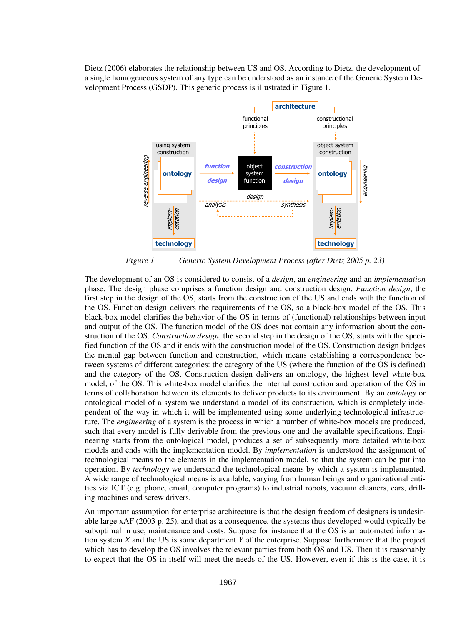Dietz (2006) elaborates the relationship between US and OS. According to Dietz, the development of a single homogeneous system of any type can be understood as an instance of the Generic System Development Process (GSDP). This generic process is illustrated in Figure 1.



*Figure 1 Generic System Development Process (after Dietz 2005 p. 23)* 

The development of an OS is considered to consist of a *design*, an *engineering* and an *implementation* phase. The design phase comprises a function design and construction design. *Function design*, the first step in the design of the OS, starts from the construction of the US and ends with the function of the OS. Function design delivers the requirements of the OS, so a black-box model of the OS. This black-box model clarifies the behavior of the OS in terms of (functional) relationships between input and output of the OS. The function model of the OS does not contain any information about the construction of the OS. *Construction design*, the second step in the design of the OS, starts with the specified function of the OS and it ends with the construction model of the OS. Construction design bridges the mental gap between function and construction, which means establishing a correspondence between systems of different categories: the category of the US (where the function of the OS is defined) and the category of the OS. Construction design delivers an ontology, the highest level white-box model, of the OS. This white-box model clarifies the internal construction and operation of the OS in terms of collaboration between its elements to deliver products to its environment. By an *ontology* or ontological model of a system we understand a model of its construction, which is completely independent of the way in which it will be implemented using some underlying technological infrastructure. The *engineering* of a system is the process in which a number of white-box models are produced, such that every model is fully derivable from the previous one and the available specifications. Engineering starts from the ontological model, produces a set of subsequently more detailed white-box models and ends with the implementation model. By *implementation* is understood the assignment of technological means to the elements in the implementation model, so that the system can be put into operation. By *technology* we understand the technological means by which a system is implemented. A wide range of technological means is available, varying from human beings and organizational entities via ICT (e.g. phone, email, computer programs) to industrial robots, vacuum cleaners, cars, drilling machines and screw drivers.

An important assumption for enterprise architecture is that the design freedom of designers is undesirable large xAF (2003 p. 25), and that as a consequence, the systems thus developed would typically be suboptimal in use, maintenance and costs. Suppose for instance that the OS is an automated information system *X* and the US is some department *Y* of the enterprise. Suppose furthermore that the project which has to develop the OS involves the relevant parties from both OS and US. Then it is reasonably to expect that the OS in itself will meet the needs of the US. However, even if this is the case, it is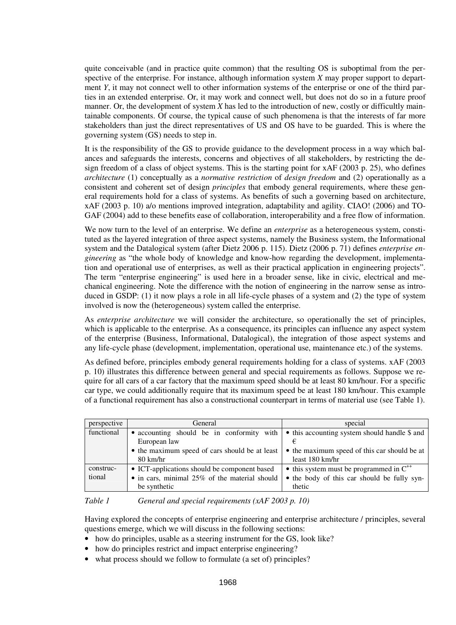quite conceivable (and in practice quite common) that the resulting OS is suboptimal from the perspective of the enterprise. For instance, although information system *X* may proper support to department *Y*, it may not connect well to other information systems of the enterprise or one of the third parties in an extended enterprise. Or, it may work and connect well, but does not do so in a future proof manner. Or, the development of system *X* has led to the introduction of new, costly or difficultly maintainable components. Of course, the typical cause of such phenomena is that the interests of far more stakeholders than just the direct representatives of US and OS have to be guarded. This is where the governing system (GS) needs to step in.

It is the responsibility of the GS to provide guidance to the development process in a way which balances and safeguards the interests, concerns and objectives of all stakeholders, by restricting the design freedom of a class of object systems. This is the starting point for xAF (2003 p. 25), who defines *architecture* (1) conceptually as a *normative restriction* of *design freedom* and (2) operationally as a consistent and coherent set of design *principles* that embody general requirements, where these general requirements hold for a class of systems. As benefits of such a governing based on architecture, xAF (2003 p. 10) a/o mentions improved integration, adaptability and agility. CIAO! (2006) and TO-GAF (2004) add to these benefits ease of collaboration, interoperability and a free flow of information.

We now turn to the level of an enterprise. We define an *enterprise* as a heterogeneous system, constituted as the layered integration of three aspect systems, namely the Business system, the Informational system and the Datalogical system (after Dietz 2006 p. 115). Dietz (2006 p. 71) defines *enterprise engineering* as "the whole body of knowledge and know-how regarding the development, implementation and operational use of enterprises, as well as their practical application in engineering projects". The term "enterprise engineering" is used here in a broader sense, like in civic, electrical and mechanical engineering. Note the difference with the notion of engineering in the narrow sense as introduced in GSDP: (1) it now plays a role in all life-cycle phases of a system and (2) the type of system involved is now the (heterogeneous) system called the enterprise.

As *enterprise architecture* we will consider the architecture, so operationally the set of principles, which is applicable to the enterprise. As a consequence, its principles can influence any aspect system of the enterprise (Business, Informational, Datalogical), the integration of those aspect systems and any life-cycle phase (development, implementation, operational use, maintenance etc.) of the systems.

As defined before, principles embody general requirements holding for a class of systems. xAF (2003 p. 10) illustrates this difference between general and special requirements as follows. Suppose we require for all cars of a car factory that the maximum speed should be at least 80 km/hour. For a specific car type, we could additionally require that its maximum speed be at least 180 km/hour. This example of a functional requirement has also a constructional counterpart in terms of material use (see Table 1).

| perspective | General                                               | special                                              |  |
|-------------|-------------------------------------------------------|------------------------------------------------------|--|
| functional  | • accounting should be in conformity with             | • this accounting system should handle \$ and        |  |
|             | European law                                          |                                                      |  |
|             | • the maximum speed of cars should be at least        | • the maximum speed of this car should be at         |  |
|             | $80 \text{ km/hr}$                                    | least 180 km/hr                                      |  |
| construc-   | • ICT-applications should be component based          | $\bullet$ this system must be programmed in $C^{++}$ |  |
| tional      | $\bullet$ in cars, minimal 25% of the material should | • the body of this car should be fully syn-          |  |
|             | be synthetic                                          | thetic                                               |  |

*Table 1 General and special requirements (xAF 2003 p. 10)* 

Having explored the concepts of enterprise engineering and enterprise architecture / principles, several questions emerge, which we will discuss in the following sections:

- how do principles, usable as a steering instrument for the GS, look like?
- how do principles restrict and impact enterprise engineering?
- what process should we follow to formulate (a set of) principles?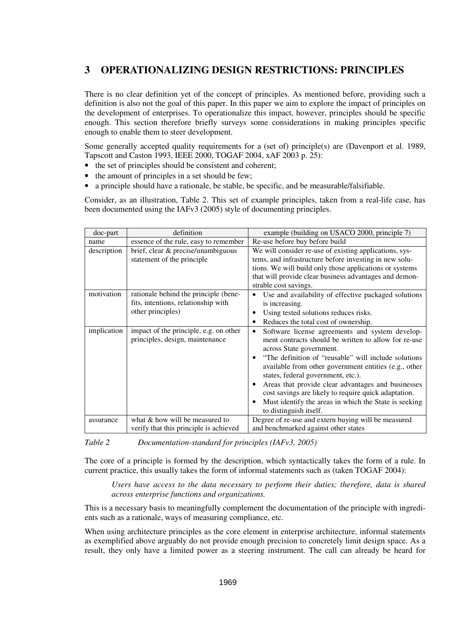# **3 OPERATIONALIZING DESIGN RESTRICTIONS: PRINCIPLES**

There is no clear definition yet of the concept of principles. As mentioned before, providing such a definition is also not the goal of this paper. In this paper we aim to explore the impact of principles on the development of enterprises. To operationalize this impact, however, principles should be specific enough. This section therefore briefly surveys some considerations in making principles specific enough to enable them to steer development.

Some generally accepted quality requirements for a (set of) principle(s) are (Davenport et al. 1989, Tapscott and Caston 1993, IEEE 2000, TOGAF 2004, xAF 2003 p. 25):

- the set of principles should be consistent and coherent;
- the amount of principles in a set should be few;
- a principle should have a rationale, be stable, be specific, and be measurable/falsifiable.

Consider, as an illustration, Table 2. This set of example principles, taken from a real-life case, has been documented using the IAFv3 (2005) style of documenting principles.

| doc-part    | definition                                                                | example (building on USACO 2000, principle 7)                                                                                                                                                                                                                                                                                                                                                                                                                                                              |  |
|-------------|---------------------------------------------------------------------------|------------------------------------------------------------------------------------------------------------------------------------------------------------------------------------------------------------------------------------------------------------------------------------------------------------------------------------------------------------------------------------------------------------------------------------------------------------------------------------------------------------|--|
| name        | essence of the rule, easy to remember                                     | Re-use before buy before build                                                                                                                                                                                                                                                                                                                                                                                                                                                                             |  |
| description | brief, clear $\&$ precise/unambiguous                                     | We will consider re-use of existing applications, sys-                                                                                                                                                                                                                                                                                                                                                                                                                                                     |  |
|             | statement of the principle                                                | tems, and infrastructure before investing in new solu-                                                                                                                                                                                                                                                                                                                                                                                                                                                     |  |
|             |                                                                           | tions. We will build only those applications or systems                                                                                                                                                                                                                                                                                                                                                                                                                                                    |  |
|             |                                                                           | that will provide clear business advantages and demon-                                                                                                                                                                                                                                                                                                                                                                                                                                                     |  |
|             |                                                                           | strable cost savings.                                                                                                                                                                                                                                                                                                                                                                                                                                                                                      |  |
| motivation  | rationale behind the principle (bene-                                     | Use and availability of effective packaged solutions<br>٠                                                                                                                                                                                                                                                                                                                                                                                                                                                  |  |
|             | fits, intentions, relationship with                                       | is increasing.                                                                                                                                                                                                                                                                                                                                                                                                                                                                                             |  |
|             | other principles)                                                         | Using tested solutions reduces risks.                                                                                                                                                                                                                                                                                                                                                                                                                                                                      |  |
|             |                                                                           | Reduces the total cost of ownership.<br>$\bullet$                                                                                                                                                                                                                                                                                                                                                                                                                                                          |  |
| implication | impact of the principle, e.g. on other<br>principles, design, maintenance | Software license agreements and system develop-<br>٠<br>ment contracts should be written to allow for re-use<br>across State government.<br>"The definition of "reusable" will include solutions<br>available from other government entities (e.g., other<br>states, federal government, etc.).<br>Areas that provide clear advantages and businesses<br>٠<br>cost savings are likely to require quick adaptation.<br>Must identify the areas in which the State is seeking<br>٠<br>to distinguish itself. |  |
| assurance   | what & how will be measured to                                            | Degree of re-use and extern buying will be measured                                                                                                                                                                                                                                                                                                                                                                                                                                                        |  |
|             | verify that this principle is achieved                                    | and benchmarked against other states                                                                                                                                                                                                                                                                                                                                                                                                                                                                       |  |

*Table 2 Documentation-standard for principles (IAFv3, 2005)* 

The core of a principle is formed by the description, which syntactically takes the form of a rule. In current practice, this usually takes the form of informal statements such as (taken TOGAF 2004):

*Users have access to the data necessary to perform their duties; therefore, data is shared across enterprise functions and organizations.* 

This is a necessary basis to meaningfully complement the documentation of the principle with ingredients such as a rationale, ways of measuring compliance, etc.

When using architecture principles as the core element in enterprise architecture, informal statements as exemplified above arguably do not provide enough precision to concretely limit design space. As a result, they only have a limited power as a steering instrument. The call can already be heard for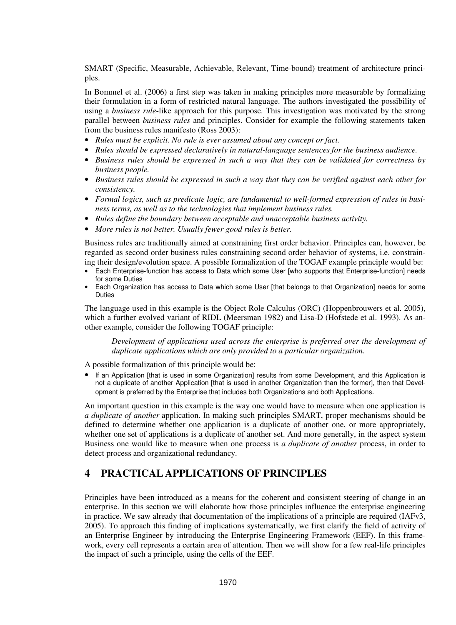SMART (Specific, Measurable, Achievable, Relevant, Time-bound) treatment of architecture principles.

In Bommel et al. (2006) a first step was taken in making principles more measurable by formalizing their formulation in a form of restricted natural language. The authors investigated the possibility of using a *business rule*-like approach for this purpose. This investigation was motivated by the strong parallel between *business rules* and principles. Consider for example the following statements taken from the business rules manifesto (Ross 2003):

- *Rules must be explicit. No rule is ever assumed about any concept or fact.*
- *Rules should be expressed declaratively in natural-language sentences for the business audience.*
- *Business rules should be expressed in such a way that they can be validated for correctness by business people.*
- *Business rules should be expressed in such a way that they can be verified against each other for consistency.*
- *Formal logics, such as predicate logic, are fundamental to well-formed expression of rules in business terms, as well as to the technologies that implement business rules.*
- *Rules define the boundary between acceptable and unacceptable business activity.*
- *More rules is not better. Usually fewer good rules is better.*

Business rules are traditionally aimed at constraining first order behavior. Principles can, however, be regarded as second order business rules constraining second order behavior of systems, i.e. constraining their design/evolution space. A possible formalization of the TOGAF example principle would be:

- Each Enterprise-function has access to Data which some User [who supports that Enterprise-function] needs for some Duties
- Each Organization has access to Data which some User [that belongs to that Organization] needs for some Duties

The language used in this example is the Object Role Calculus (ORC) (Hoppenbrouwers et al. 2005), which a further evolved variant of RIDL (Meersman 1982) and Lisa-D (Hofstede et al. 1993). As another example, consider the following TOGAF principle:

*Development of applications used across the enterprise is preferred over the development of duplicate applications which are only provided to a particular organization.* 

A possible formalization of this principle would be:

• If an Application [that is used in some Organization] results from some Development, and this Application is not a duplicate of another Application [that is used in another Organization than the former], then that Development is preferred by the Enterprise that includes both Organizations and both Applications.

An important question in this example is the way one would have to measure when one application is *a duplicate of another* application. In making such principles SMART, proper mechanisms should be defined to determine whether one application is a duplicate of another one, or more appropriately, whether one set of applications is a duplicate of another set. And more generally, in the aspect system Business one would like to measure when one process is *a duplicate of another* process, in order to detect process and organizational redundancy.

#### **4 PRACTICAL APPLICATIONS OF PRINCIPLES**

Principles have been introduced as a means for the coherent and consistent steering of change in an enterprise. In this section we will elaborate how those principles influence the enterprise engineering in practice. We saw already that documentation of the implications of a principle are required (IAFv3, 2005). To approach this finding of implications systematically, we first clarify the field of activity of an Enterprise Engineer by introducing the Enterprise Engineering Framework (EEF). In this framework, every cell represents a certain area of attention. Then we will show for a few real-life principles the impact of such a principle, using the cells of the EEF.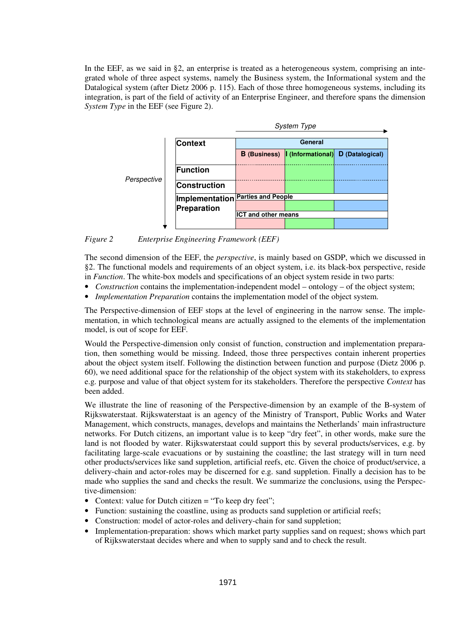In the EEF, as we said in §2, an enterprise is treated as a heterogeneous system, comprising an integrated whole of three aspect systems, namely the Business system, the Informational system and the Datalogical system (after Dietz 2006 p. 115). Each of those three homogeneous systems, including its integration, is part of the field of activity of an Enterprise Engineer, and therefore spans the dimension *System Type* in the EEF (see Figure 2).



*Figure 2 Enterprise Engineering Framework (EEF)* 

The second dimension of the EEF, the *perspective*, is mainly based on GSDP, which we discussed in §2. The functional models and requirements of an object system, i.e. its black-box perspective, reside in *Function*. The white-box models and specifications of an object system reside in two parts:

- *Construction* contains the implementation-independent model ontology of the object system;
- *Implementation Preparation* contains the implementation model of the object system.

The Perspective-dimension of EEF stops at the level of engineering in the narrow sense. The implementation, in which technological means are actually assigned to the elements of the implementation model, is out of scope for EEF.

Would the Perspective-dimension only consist of function, construction and implementation preparation, then something would be missing. Indeed, those three perspectives contain inherent properties about the object system itself. Following the distinction between function and purpose (Dietz 2006 p. 60), we need additional space for the relationship of the object system with its stakeholders, to express e.g. purpose and value of that object system for its stakeholders. Therefore the perspective *Context* has been added.

We illustrate the line of reasoning of the Perspective-dimension by an example of the B-system of Rijkswaterstaat. Rijkswaterstaat is an agency of the Ministry of Transport, Public Works and Water Management, which constructs, manages, develops and maintains the Netherlands' main infrastructure networks. For Dutch citizens, an important value is to keep "dry feet", in other words, make sure the land is not flooded by water. Rijkswaterstaat could support this by several products/services, e.g. by facilitating large-scale evacuations or by sustaining the coastline; the last strategy will in turn need other products/services like sand suppletion, artificial reefs, etc. Given the choice of product/service, a delivery-chain and actor-roles may be discerned for e.g. sand suppletion. Finally a decision has to be made who supplies the sand and checks the result. We summarize the conclusions, using the Perspective-dimension:

- Context: value for Dutch citizen = "To keep dry feet";
- Function: sustaining the coastline, using as products sand suppletion or artificial reefs;
- Construction: model of actor-roles and delivery-chain for sand suppletion;
- Implementation-preparation: shows which market party supplies sand on request; shows which part of Rijkswaterstaat decides where and when to supply sand and to check the result.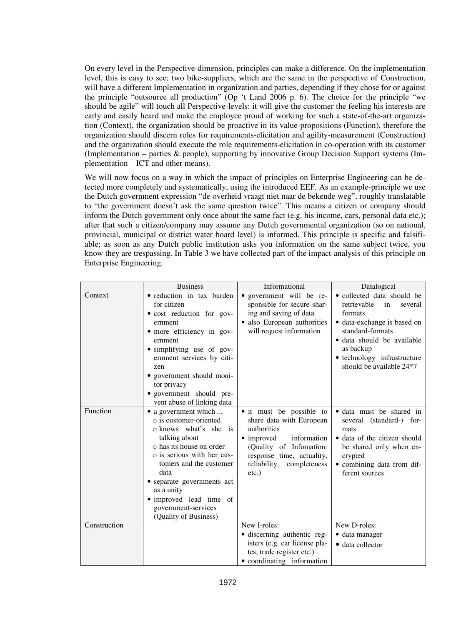On every level in the Perspective-dimension, principles can make a difference. On the implementation level, this is easy to see: two bike-suppliers, which are the same in the perspective of Construction, will have a different Implementation in organization and parties, depending if they chose for or against the principle "outsource all production" (Op 't Land 2006 p. 6). The choice for the principle "we should be agile" will touch all Perspective-levels: it will give the customer the feeling his interests are early and easily heard and make the employee proud of working for such a state-of-the-art organization (Context), the organization should be proactive in its value-propositions (Function), therefore the organization should discern roles for requirements-elicitation and agility-measurement (Construction) and the organization should execute the role requirements-elicitation in co-operation with its customer (Implementation – parties & people), supporting by innovative Group Decision Support systems (Implementation – ICT and other means).

We will now focus on a way in which the impact of principles on Enterprise Engineering can be detected more completely and systematically, using the introduced EEF. As an example-principle we use the Dutch government expression "de overheid vraagt niet naar de bekende weg", roughly translatable to "the government doesn't ask the same question twice". This means a citizen or company should inform the Dutch government only once about the same fact (e.g. his income, cars, personal data etc.); after that such a citizen/company may assume any Dutch governmental organization (so on national, provincial, municipal or district water board level) is informed. This principle is specific and falsifiable; as soon as any Dutch public institution asks you information on the same subject twice, you know they are trespassing. In Table 3 we have collected part of the impact-analysis of this principle on Enterprise Engineering.

|              | <b>Business</b>                                                                                                                                                                                                                                                                                                          | Informational                                                                                                                                                                                     | Datalogical                                                                                                                                                                                                                    |
|--------------|--------------------------------------------------------------------------------------------------------------------------------------------------------------------------------------------------------------------------------------------------------------------------------------------------------------------------|---------------------------------------------------------------------------------------------------------------------------------------------------------------------------------------------------|--------------------------------------------------------------------------------------------------------------------------------------------------------------------------------------------------------------------------------|
| Context      | • reduction in tax burden<br>for citizen<br>• cost reduction for gov-<br>ernment<br>• more efficiency in gov-<br>ernment<br>• simplifying use of gov-<br>ernment services by citi-<br>zen<br>• government should moni-<br>tor privacy<br>· government should pre-<br>vent abuse of linking data                          | • government will be re-<br>sponsible for secure shar-<br>ing and saving of data<br>· also European authorities<br>will request information                                                       | • collected data should be<br>retrievable<br>in<br>several<br>formats<br>• data-exchange is based on<br>standard-formats<br>· data should be available<br>as backup<br>• technology infrastructure<br>should be available 24*7 |
| Function     | • a government which<br>$\circ$ is customer-oriented<br>o knows what's she is<br>talking about<br>$\circ$ has its house on order<br>o is serious with her cus-<br>tomers and the customer<br>data<br>• separate governments act<br>as a unity<br>• improved lead time of<br>government-services<br>(Quality of Business) | • it must be possible to<br>share data with European<br>authorities<br>• improved<br>information<br>(Quality of Infomation:<br>response time, actuality,<br>reliability, completeness<br>$etc.$ ) | • data must be shared in<br>several (standard-) for-<br>mats<br>• data of the citizen should<br>be shared only when en-<br>crypted<br>• combining data from dif-<br>ferent sources                                             |
| Construction |                                                                                                                                                                                                                                                                                                                          | New I-roles:<br>• discerning authentic reg-                                                                                                                                                       | New D-roles:<br>• data manager                                                                                                                                                                                                 |
|              |                                                                                                                                                                                                                                                                                                                          | isters (e.g. car license pla-<br>tes, trade register etc.)<br>• coordinating information                                                                                                          | • data collector                                                                                                                                                                                                               |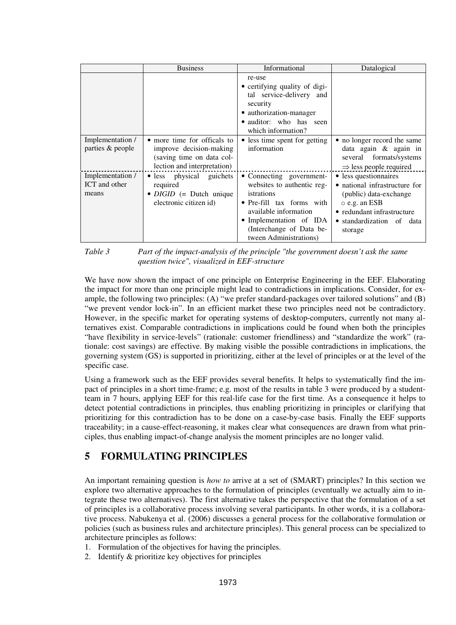|                                            | <b>Business</b>                                                                                                    | Informational                                                                                                                                                                                               | Datalogical                                                                                                                                                                   |
|--------------------------------------------|--------------------------------------------------------------------------------------------------------------------|-------------------------------------------------------------------------------------------------------------------------------------------------------------------------------------------------------------|-------------------------------------------------------------------------------------------------------------------------------------------------------------------------------|
|                                            |                                                                                                                    | re-use<br>• certifying quality of digi-<br>tal service-delivery and<br>security<br>• authorization-manager<br>• auditor: who has seen<br>which information?                                                 |                                                                                                                                                                               |
| Implementation /<br>parties & people       | • more time for officals to<br>improve decision-making<br>(saving time on data col-<br>lection and interpretation) | • less time spent for getting<br>information                                                                                                                                                                | • no longer record the same<br>data again $\&$ again in<br>several formats/systems<br>$\Rightarrow$ less people required                                                      |
| Implementation /<br>ICT and other<br>means | • less physical guichets<br>required<br>$\bullet$ <i>DIGID</i> (= Dutch unique<br>electronic citizen id)           | • Connecting government-<br>websites to authentic reg-<br>istrations<br>• Pre-fill tax forms with<br>available information<br>• Implementation of IDA<br>(Interchange of Data be-<br>tween Administrations) | • less questionnaires<br>• national infrastructure for<br>(public) data-exchange<br>$\circ$ e.g. an ESB<br>• redundant infrastructure<br>• standardization of data<br>storage |

*Table 3 Part of the impact-analysis of the principle "the government doesn't ask the same question twice", visualized in EEF-structure* 

We have now shown the impact of one principle on Enterprise Engineering in the EEF. Elaborating the impact for more than one principle might lead to contradictions in implications. Consider, for example, the following two principles: (A) "we prefer standard-packages over tailored solutions" and (B) "we prevent vendor lock-in". In an efficient market these two principles need not be contradictory. However, in the specific market for operating systems of desktop-computers, currently not many alternatives exist. Comparable contradictions in implications could be found when both the principles "have flexibility in service-levels" (rationale: customer friendliness) and "standardize the work" (rationale: cost savings) are effective. By making visible the possible contradictions in implications, the governing system (GS) is supported in prioritizing, either at the level of principles or at the level of the specific case.

Using a framework such as the EEF provides several benefits. It helps to systematically find the impact of principles in a short time-frame; e.g. most of the results in table 3 were produced by a studentteam in 7 hours, applying EEF for this real-life case for the first time. As a consequence it helps to detect potential contradictions in principles, thus enabling prioritizing in principles or clarifying that prioritizing for this contradiction has to be done on a case-by-case basis. Finally the EEF supports traceability; in a cause-effect-reasoning, it makes clear what consequences are drawn from what principles, thus enabling impact-of-change analysis the moment principles are no longer valid.

# **5 FORMULATING PRINCIPLES**

An important remaining question is *how to* arrive at a set of (SMART) principles? In this section we explore two alternative approaches to the formulation of principles (eventually we actually aim to integrate these two alternatives). The first alternative takes the perspective that the formulation of a set of principles is a collaborative process involving several participants. In other words, it is a collaborative process. Nabukenya et al. (2006) discusses a general process for the collaborative formulation or policies (such as business rules and architecture principles). This general process can be specialized to architecture principles as follows:

- 1. Formulation of the objectives for having the principles.
- 2. Identify & prioritize key objectives for principles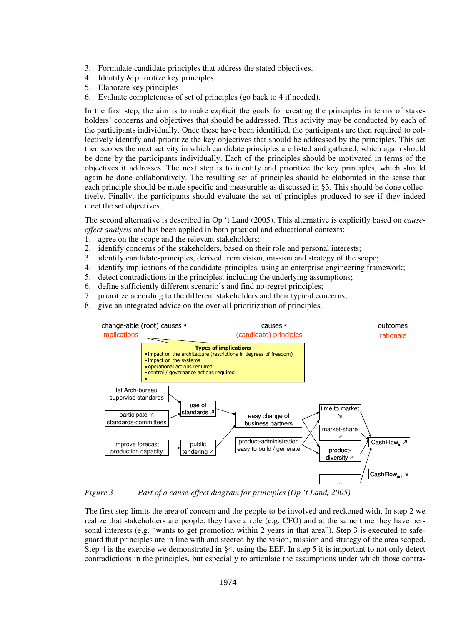- 3. Formulate candidate principles that address the stated objectives.
- 4. Identify & prioritize key principles
- 5. Elaborate key principles
- 6. Evaluate completeness of set of principles (go back to 4 if needed).

In the first step, the aim is to make explicit the goals for creating the principles in terms of stakeholders' concerns and objectives that should be addressed. This activity may be conducted by each of the participants individually. Once these have been identified, the participants are then required to collectively identify and prioritize the key objectives that should be addressed by the principles. This set then scopes the next activity in which candidate principles are listed and gathered, which again should be done by the participants individually. Each of the principles should be motivated in terms of the objectives it addresses. The next step is to identify and prioritize the key principles, which should again be done collaboratively. The resulting set of principles should be elaborated in the sense that each principle should be made specific and measurable as discussed in §3. This should be done collectively. Finally, the participants should evaluate the set of principles produced to see if they indeed meet the set objectives.

The second alternative is described in Op 't Land (2005). This alternative is explicitly based on *causeeffect analysis* and has been applied in both practical and educational contexts:

- 1. agree on the scope and the relevant stakeholders;
- 2. identify concerns of the stakeholders, based on their role and personal interests;
- 3. identify candidate-principles, derived from vision, mission and strategy of the scope;
- 4. identify implications of the candidate-principles, using an enterprise engineering framework;
- 5. detect contradictions in the principles, including the underlying assumptions;
- 6. define sufficiently different scenario's and find no-regret principles;
- 7. prioritize according to the different stakeholders and their typical concerns;
- 8. give an integrated advice on the over-all prioritization of principles.



*Figure 3 Part of a cause-effect diagram for principles (Op 't Land, 2005)* 

The first step limits the area of concern and the people to be involved and reckoned with. In step 2 we realize that stakeholders are people: they have a role (e.g. CFO) and at the same time they have personal interests (e.g. "wants to get promotion within 2 years in that area"). Step 3 is executed to safeguard that principles are in line with and steered by the vision, mission and strategy of the area scoped. Step 4 is the exercise we demonstrated in §4, using the EEF. In step 5 it is important to not only detect contradictions in the principles, but especially to articulate the assumptions under which those contra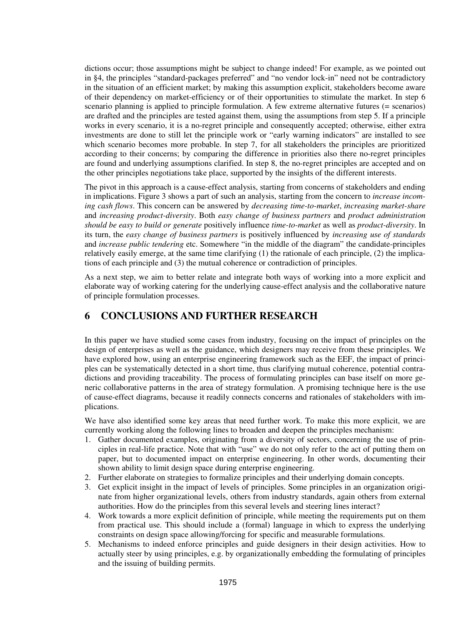dictions occur; those assumptions might be subject to change indeed! For example, as we pointed out in §4, the principles "standard-packages preferred" and "no vendor lock-in" need not be contradictory in the situation of an efficient market; by making this assumption explicit, stakeholders become aware of their dependency on market-efficiency or of their opportunities to stimulate the market. In step 6 scenario planning is applied to principle formulation. A few extreme alternative futures (= scenarios) are drafted and the principles are tested against them, using the assumptions from step 5. If a principle works in every scenario, it is a no-regret principle and consequently accepted; otherwise, either extra investments are done to still let the principle work or "early warning indicators" are installed to see which scenario becomes more probable. In step 7, for all stakeholders the principles are prioritized according to their concerns; by comparing the difference in priorities also there no-regret principles are found and underlying assumptions clarified. In step 8, the no-regret principles are accepted and on the other principles negotiations take place, supported by the insights of the different interests.

The pivot in this approach is a cause-effect analysis, starting from concerns of stakeholders and ending in implications. Figure 3 shows a part of such an analysis, starting from the concern to *increase incoming cash flows*. This concern can be answered by *decreasing time-to-market*, *increasing market-share* and *increasing product-diversity*. Both *easy change of business partners* and *product administration should be easy to build or generate* positively influence *time-to-market* as well as *product-diversity*. In its turn, the *easy change of business partners* is positively influenced by *increasing use of standards* and *increase public tendering* etc. Somewhere "in the middle of the diagram" the candidate-principles relatively easily emerge, at the same time clarifying (1) the rationale of each principle, (2) the implications of each principle and (3) the mutual coherence or contradiction of principles.

As a next step, we aim to better relate and integrate both ways of working into a more explicit and elaborate way of working catering for the underlying cause-effect analysis and the collaborative nature of principle formulation processes.

### **6 CONCLUSIONS AND FURTHER RESEARCH**

In this paper we have studied some cases from industry, focusing on the impact of principles on the design of enterprises as well as the guidance, which designers may receive from these principles. We have explored how, using an enterprise engineering framework such as the EEF, the impact of principles can be systematically detected in a short time, thus clarifying mutual coherence, potential contradictions and providing traceability. The process of formulating principles can base itself on more generic collaborative patterns in the area of strategy formulation. A promising technique here is the use of cause-effect diagrams, because it readily connects concerns and rationales of stakeholders with implications.

We have also identified some key areas that need further work. To make this more explicit, we are currently working along the following lines to broaden and deepen the principles mechanism:

- 1. Gather documented examples, originating from a diversity of sectors, concerning the use of principles in real-life practice. Note that with "use" we do not only refer to the act of putting them on paper, but to documented impact on enterprise engineering. In other words, documenting their shown ability to limit design space during enterprise engineering.
- 2. Further elaborate on strategies to formalize principles and their underlying domain concepts.
- 3. Get explicit insight in the impact of levels of principles. Some principles in an organization originate from higher organizational levels, others from industry standards, again others from external authorities. How do the principles from this several levels and steering lines interact?
- 4. Work towards a more explicit definition of principle, while meeting the requirements put on them from practical use. This should include a (formal) language in which to express the underlying constraints on design space allowing/forcing for specific and measurable formulations.
- 5. Mechanisms to indeed enforce principles and guide designers in their design activities. How to actually steer by using principles, e.g. by organizationally embedding the formulating of principles and the issuing of building permits.